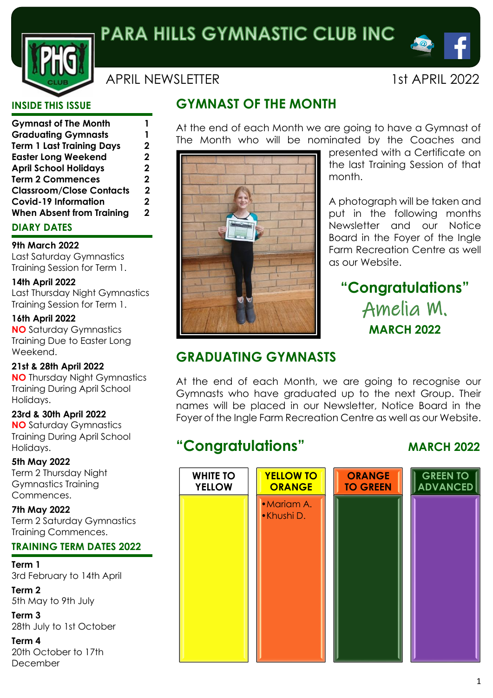

APRIL NEWSI FITER 1st APRIL 2022

# **INSIDE THIS ISSUE**

| <b>Gymnast of The Month</b>      |   |
|----------------------------------|---|
| <b>Graduating Gymnasts</b>       |   |
| <b>Term 1 Last Training Days</b> | 2 |
| <b>Easter Long Weekend</b>       | 2 |
| <b>April School Holidays</b>     | 2 |
| <b>Term 2 Commences</b>          | 2 |
| <b>Classroom/Close Contacts</b>  | 2 |
| <b>Covid-19 Information</b>      | 2 |
| <b>When Absent from Training</b> | 2 |
|                                  |   |

# **DIARY DATES**

### **9th March 2022**

Last Saturday Gymnastics Training Session for Term 1.

## **14th April 2022**

Last Thursday Night Gymnastics Training Session for Term 1.

## **16th April 2022**

**NO** Saturday Gymnastics Training Due to Easter Long Weekend.

#### **21st & 28th April 2022 NO** Thursday Night Gymnastics Training During April School Holidays.

**23rd & 30th April 2022 NO** Saturday Gymnastics Training During April School Holidays.

**5th May 2022** Term 2 Thursday Night Gymnastics Training Commences.

**7th May 2022** Term 2 Saturday Gymnastics Training Commences.

# **TRAINING TERM DATES 2022**

**Term 1** 3rd February to 14th April

**Term 2** 5th May to 9th July

**Term 3** 28th July to 1st October

**Term 4** 20th October to 17th December

# **GYMNAST OF THE MONTH**

At the end of each Month we are going to have a Gymnast of The Month who will be nominated by the Coaches and



presented with a Certificate on the last Training Session of that month.

A photograph will be taken and put in the following months Newsletter and our Notice Board in the Foyer of the Ingle Farm Recreation Centre as well as our Website.

# **"Congratulations"** Amelia M. **MARCH 2022**

# **GRADUATING GYMNASTS**

At the end of each Month, we are going to recognise our Gymnasts who have graduated up to the next Group. Their names will be placed in our Newsletter, Notice Board in the Foyer of the Ingle Farm Recreation Centre as well as our Website.

# **"Congratulations" MARCH 2022**

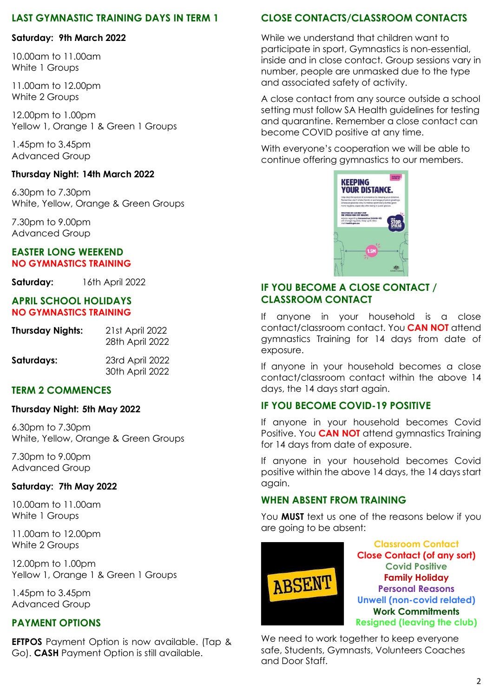## **LAST GYMNASTIC TRAINING DAYS IN TERM 1**

#### **Saturday: 9th March 2022**

10.00am to 11.00am White 1 Groups

11.00am to 12.00pm White 2 Groups

12.00pm to 1.00pm Yellow 1, Orange 1 & Green 1 Groups

1.45pm to 3.45pm Advanced Group

#### **Thursday Night: 14th March 2022**

6.30pm to 7.30pm White, Yellow, Orange & Green Groups

7.30pm to 9.00pm Advanced Group

#### **EASTER LONG WEEKEND NO GYMNASTICS TRAINING**

**Saturday:** 16th April 2022

#### **APRIL SCHOOL HOLIDAYS NO GYMNASTICS TRAINING**

| <b>Thursday Nights:</b> | 21st April 2022<br>28th April 2022 |
|-------------------------|------------------------------------|
| Saturdays:              | 23rd April 2022<br>30th April 2022 |

#### **TERM 2 COMMENCES**

#### **Thursday Night: 5th May 2022**

6.30pm to 7.30pm White, Yellow, Orange & Green Groups

7.30pm to 9.00pm Advanced Group

## **Saturday: 7th May 2022**

10.00am to 11.00am White 1 Groups

11.00am to 12.00pm White 2 Groups

12.00pm to 1.00pm Yellow 1, Orange 1 & Green 1 Groups

1.45pm to 3.45pm Advanced Group

# **PAYMENT OPTIONS**

**EFTPOS** Payment Option is now available. (Tap & Go). **CASH** Payment Option is still available.

# **CLOSE CONTACTS/CLASSROOM CONTACTS**

While we understand that children want to participate in sport, Gymnastics is non-essential, inside and in close contact. Group sessions vary in number, people are unmasked due to the type and associated safety of activity.

A close contact from any source outside a school setting must follow SA Health guidelines for testing and quarantine. Remember a close contact can become COVID positive at any time.

With everyone's cooperation we will be able to continue offering gymnastics to our members.



## **IF YOU BECOME A CLOSE CONTACT / CLASSROOM CONTACT**

If anyone in your household is a close contact/classroom contact. You **CAN NOT** attend gymnastics Training for 14 days from date of exposure.

If anyone in your household becomes a close contact/classroom contact within the above 14 days, the 14 days start again.

# **IF YOU BECOME COVID-19 POSITIVE**

If anyone in your household becomes Covid Positive. You **CAN NOT** attend gymnastics Training for 14 days from date of exposure.

If anyone in your household becomes Covid positive within the above 14 days, the 14 days start again.

## **WHEN ABSENT FROM TRAINING**

You **MUST** text us one of the reasons below if you are going to be absent:



We need to work together to keep everyone safe, Students, Gymnasts, Volunteers Coaches and Door Staff.